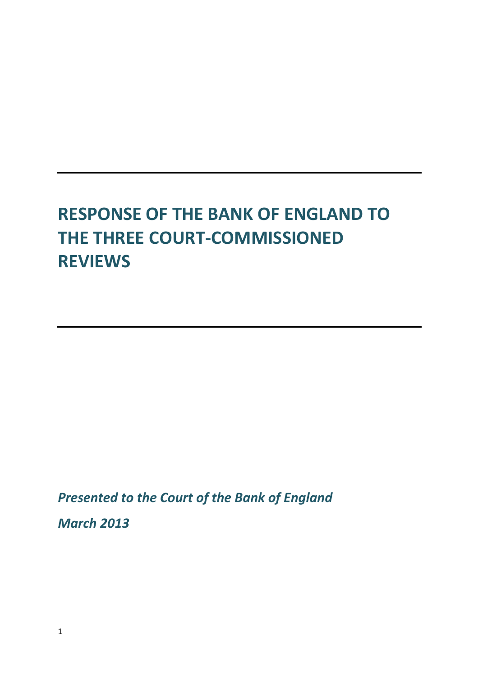# **RESPONSE OF THE BANK OF ENGLAND TO THE THREE COURT‐COMMISSIONED REVIEWS**

*Presented to the Court of the Bank of England*

*March 2013*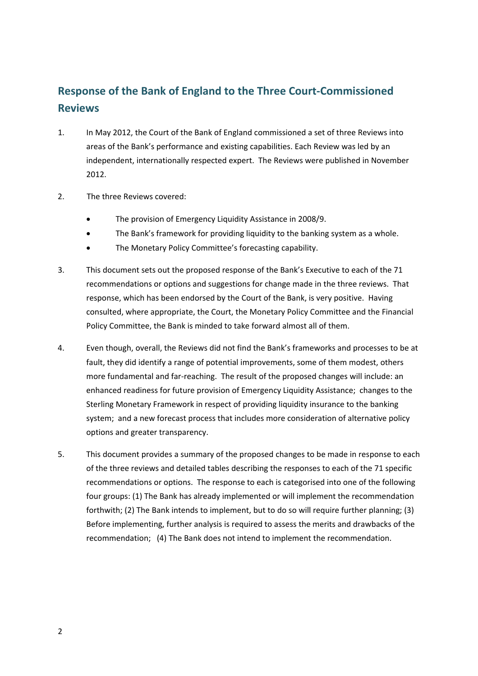### **Response of the Bank of England to the Three Court‐Commissioned Reviews**

- 1. In May 2012, the Court of the Bank of England commissioned a set of three Reviews into areas of the Bank's performance and existing capabilities. Each Review was led by an independent, internationally respected expert. The Reviews were published in November 2012.
- 2. The three Reviews covered:
	- The provision of Emergency Liquidity Assistance in 2008/9.
	- The Bank's framework for providing liquidity to the banking system as a whole.
	- The Monetary Policy Committee's forecasting capability.
- 3. This document sets out the proposed response of the Bank's Executive to each of the 71 recommendations or options and suggestions for change made in the three reviews. That response, which has been endorsed by the Court of the Bank, is very positive. Having consulted, where appropriate, the Court, the Monetary Policy Committee and the Financial Policy Committee, the Bank is minded to take forward almost all of them.
- 4. Even though, overall, the Reviews did not find the Bank's frameworks and processes to be at fault, they did identify a range of potential improvements, some of them modest, others more fundamental and far-reaching. The result of the proposed changes will include: an enhanced readiness for future provision of Emergency Liquidity Assistance; changes to the Sterling Monetary Framework in respect of providing liquidity insurance to the banking system; and a new forecast process that includes more consideration of alternative policy options and greater transparency.
- 5. This document provides a summary of the proposed changes to be made in response to each of the three reviews and detailed tables describing the responses to each of the 71 specific recommendations or options. The response to each is categorised into one of the following four groups: (1) The Bank has already implemented or will implement the recommendation forthwith; (2) The Bank intends to implement, but to do so will require further planning; (3) Before implementing, further analysis is required to assess the merits and drawbacks of the recommendation; (4) The Bank does not intend to implement the recommendation.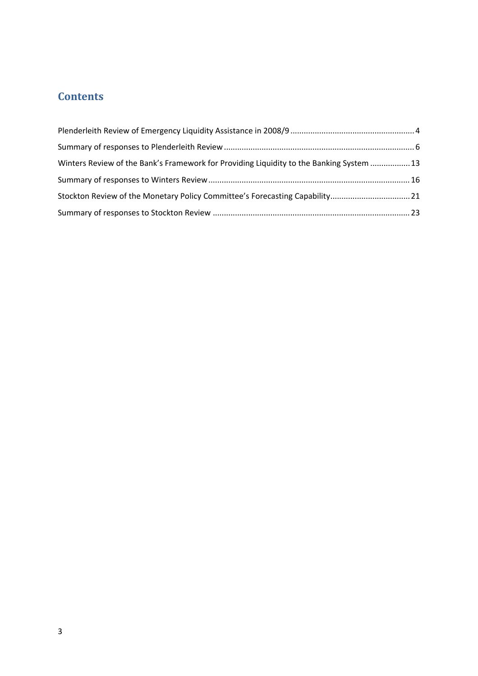## **Contents**

| Winters Review of the Bank's Framework for Providing Liquidity to the Banking System  13 |  |
|------------------------------------------------------------------------------------------|--|
|                                                                                          |  |
| Stockton Review of the Monetary Policy Committee's Forecasting Capability21              |  |
|                                                                                          |  |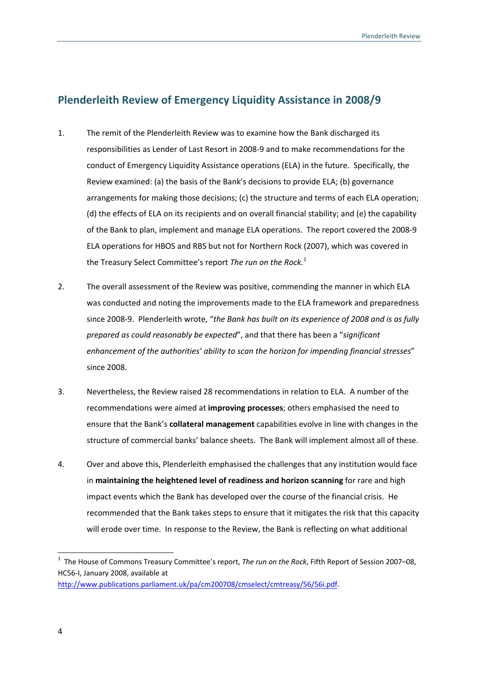### **Plenderleith Review of Emergency Liquidity Assistance in 2008/9**

- 1. The remit of the Plenderleith Review was to examine how the Bank discharged its responsibilities as Lender of Last Resort in 2008‐9 and to make recommendations for the conduct of Emergency Liquidity Assistance operations (ELA) in the future. Specifically, the Review examined: (a) the basis of the Bank's decisions to provide ELA; (b) governance arrangements for making those decisions; (c) the structure and terms of each ELA operation; (d) the effects of ELA on its recipients and on overall financial stability; and (e) the capability of the Bank to plan, implement and manage ELA operations. The report covered the 2008‐9 ELA operations for HBOS and RBS but not for Northern Rock (2007), which was covered in the Treasury Select Committee's report *The run on the Rock.<sup>1</sup>*
- 2. The overall assessment of the Review was positive, commending the manner in which ELA was conducted and noting the improvements made to the ELA framework and preparedness since 2008‐9. Plenderleith wrote, "*the Bank has built on its experience of 2008 and is as fully prepared as could reasonably be expected*", and that there has been a "*significant enhancement of the authorities' ability to scan the horizon for impending financial stresses*" since 2008.
- 3. Nevertheless, the Review raised 28 recommendations in relation to ELA. A number of the recommendations were aimed at **improving processes**; others emphasised the need to ensure that the Bank's **collateral management** capabilities evolve in line with changes in the structure of commercial banks' balance sheets. The Bank will implement almost all of these.
- 4. Over and above this, Plenderleith emphasised the challenges that any institution would face in **maintaining the heightened level of readiness and horizon scanning** for rare and high impact events which the Bank has developed over the course of the financial crisis. He recommended that the Bank takes steps to ensure that it mitigates the risk that this capacity will erode over time. In response to the Review, the Bank is reflecting on what additional

<sup>1</sup> The House of Commons Treasury Committee's report, *The run on the Rock*, Fifth Report of Session 2007–08, HC56‐I, January 2008, available at http://www.publications.parliament.uk/pa/cm200708/cmselect/cmtreasy/56/56i.pdf.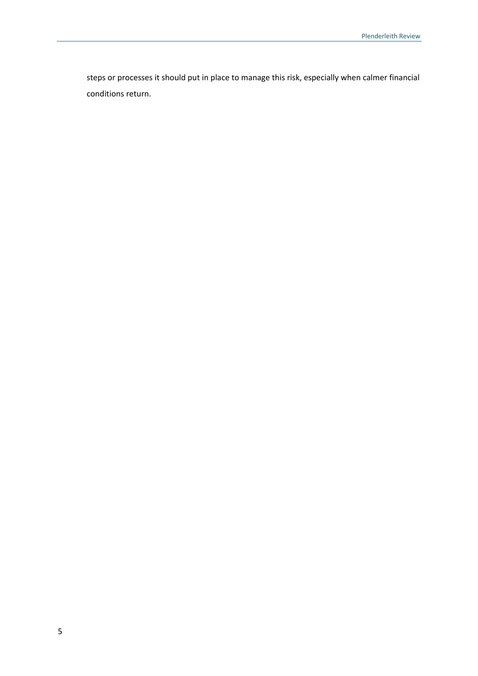steps or processes it should put in place to manage this risk, especially when calmer financial conditions return.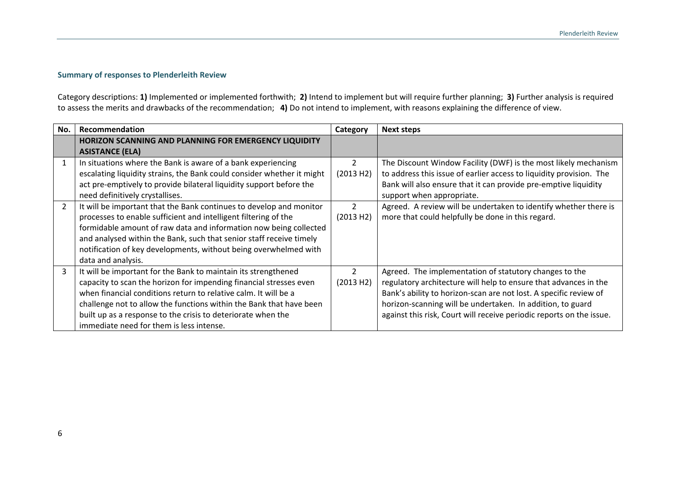#### **Summary of responses to Plenderleith Review**

Category descriptions: **1)** Implemented or implemented forthwith; **2)** Intend to implement but will require further planning; **3)** Further analysis is required to assess the merits and drawbacks of the recommendation; **4)** Do not intend to implement, with reasons explaining the difference of view.

| No. | Recommendation                                                         | Category       | <b>Next steps</b>                                                    |
|-----|------------------------------------------------------------------------|----------------|----------------------------------------------------------------------|
|     | HORIZON SCANNING AND PLANNING FOR EMERGENCY LIQUIDITY                  |                |                                                                      |
|     | <b>ASISTANCE (ELA)</b>                                                 |                |                                                                      |
|     | In situations where the Bank is aware of a bank experiencing           | $\overline{2}$ | The Discount Window Facility (DWF) is the most likely mechanism      |
|     | escalating liquidity strains, the Bank could consider whether it might | (2013 H2)      | to address this issue of earlier access to liquidity provision. The  |
|     | act pre-emptively to provide bilateral liquidity support before the    |                | Bank will also ensure that it can provide pre-emptive liquidity      |
|     | need definitively crystallises.                                        |                | support when appropriate.                                            |
|     | It will be important that the Bank continues to develop and monitor    | 2              | Agreed. A review will be undertaken to identify whether there is     |
|     | processes to enable sufficient and intelligent filtering of the        | (2013 H2)      | more that could helpfully be done in this regard.                    |
|     | formidable amount of raw data and information now being collected      |                |                                                                      |
|     | and analysed within the Bank, such that senior staff receive timely    |                |                                                                      |
|     | notification of key developments, without being overwhelmed with       |                |                                                                      |
|     | data and analysis.                                                     |                |                                                                      |
|     | It will be important for the Bank to maintain its strengthened         | $\overline{2}$ | Agreed. The implementation of statutory changes to the               |
|     | capacity to scan the horizon for impending financial stresses even     | (2013 H2)      | regulatory architecture will help to ensure that advances in the     |
|     | when financial conditions return to relative calm. It will be a        |                | Bank's ability to horizon-scan are not lost. A specific review of    |
|     | challenge not to allow the functions within the Bank that have been    |                | horizon-scanning will be undertaken. In addition, to guard           |
|     | built up as a response to the crisis to deteriorate when the           |                | against this risk, Court will receive periodic reports on the issue. |
|     | immediate need for them is less intense.                               |                |                                                                      |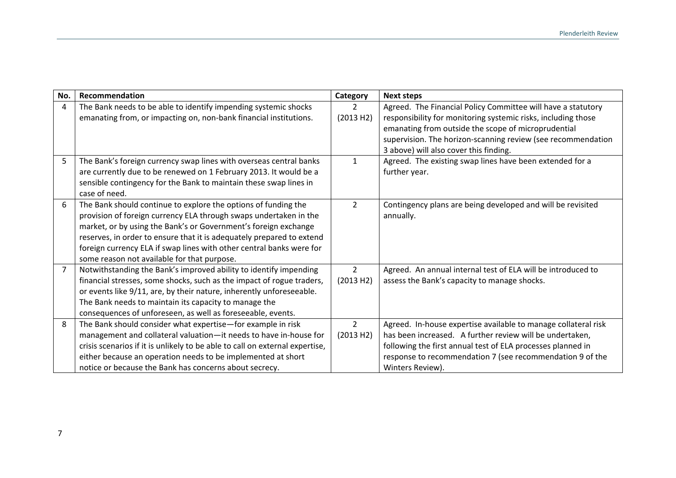| No.            | Recommendation                                                                                                                                                                                                                                                                                                                                                                                         | Category                    | <b>Next steps</b>                                                                                                                                                                                                                                                                              |
|----------------|--------------------------------------------------------------------------------------------------------------------------------------------------------------------------------------------------------------------------------------------------------------------------------------------------------------------------------------------------------------------------------------------------------|-----------------------------|------------------------------------------------------------------------------------------------------------------------------------------------------------------------------------------------------------------------------------------------------------------------------------------------|
| 4              | The Bank needs to be able to identify impending systemic shocks<br>emanating from, or impacting on, non-bank financial institutions.                                                                                                                                                                                                                                                                   | $\overline{2}$<br>(2013 H2) | Agreed. The Financial Policy Committee will have a statutory<br>responsibility for monitoring systemic risks, including those<br>emanating from outside the scope of microprudential<br>supervision. The horizon-scanning review (see recommendation<br>3 above) will also cover this finding. |
| 5              | The Bank's foreign currency swap lines with overseas central banks<br>are currently due to be renewed on 1 February 2013. It would be a<br>sensible contingency for the Bank to maintain these swap lines in<br>case of need.                                                                                                                                                                          | $\mathbf{1}$                | Agreed. The existing swap lines have been extended for a<br>further year.                                                                                                                                                                                                                      |
| 6              | The Bank should continue to explore the options of funding the<br>provision of foreign currency ELA through swaps undertaken in the<br>market, or by using the Bank's or Government's foreign exchange<br>reserves, in order to ensure that it is adequately prepared to extend<br>foreign currency ELA if swap lines with other central banks were for<br>some reason not available for that purpose. | $\overline{2}$              | Contingency plans are being developed and will be revisited<br>annually.                                                                                                                                                                                                                       |
| $\overline{7}$ | Notwithstanding the Bank's improved ability to identify impending<br>financial stresses, some shocks, such as the impact of rogue traders,<br>or events like 9/11, are, by their nature, inherently unforeseeable.<br>The Bank needs to maintain its capacity to manage the<br>consequences of unforeseen, as well as foreseeable, events.                                                             | $\overline{2}$<br>(2013 H2) | Agreed. An annual internal test of ELA will be introduced to<br>assess the Bank's capacity to manage shocks.                                                                                                                                                                                   |
| 8              | The Bank should consider what expertise-for example in risk<br>management and collateral valuation-it needs to have in-house for<br>crisis scenarios if it is unlikely to be able to call on external expertise,<br>either because an operation needs to be implemented at short<br>notice or because the Bank has concerns about secrecy.                                                             | $\overline{2}$<br>(2013 H2) | Agreed. In-house expertise available to manage collateral risk<br>has been increased. A further review will be undertaken,<br>following the first annual test of ELA processes planned in<br>response to recommendation 7 (see recommendation 9 of the<br>Winters Review).                     |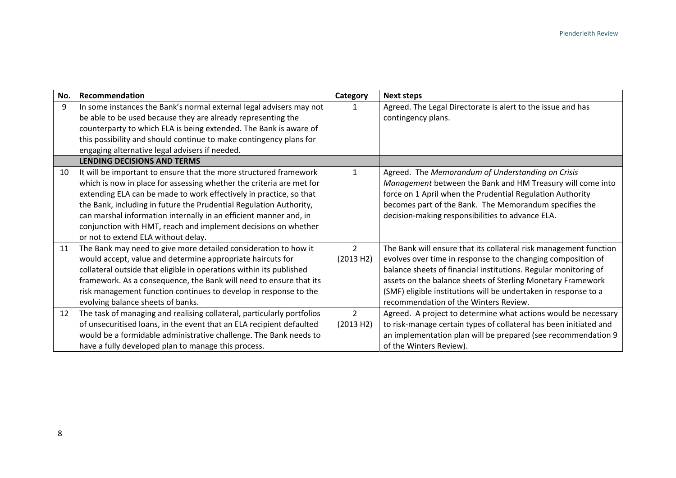| No. | Recommendation                                                         | Category       | <b>Next steps</b>                                                 |
|-----|------------------------------------------------------------------------|----------------|-------------------------------------------------------------------|
| 9   | In some instances the Bank's normal external legal advisers may not    | 1              | Agreed. The Legal Directorate is alert to the issue and has       |
|     | be able to be used because they are already representing the           |                | contingency plans.                                                |
|     | counterparty to which ELA is being extended. The Bank is aware of      |                |                                                                   |
|     | this possibility and should continue to make contingency plans for     |                |                                                                   |
|     | engaging alternative legal advisers if needed.                         |                |                                                                   |
|     | <b>LENDING DECISIONS AND TERMS</b>                                     |                |                                                                   |
| 10  | It will be important to ensure that the more structured framework      | $\mathbf{1}$   | Agreed. The Memorandum of Understanding on Crisis                 |
|     | which is now in place for assessing whether the criteria are met for   |                | Management between the Bank and HM Treasury will come into        |
|     | extending ELA can be made to work effectively in practice, so that     |                | force on 1 April when the Prudential Regulation Authority         |
|     | the Bank, including in future the Prudential Regulation Authority,     |                | becomes part of the Bank. The Memorandum specifies the            |
|     | can marshal information internally in an efficient manner and, in      |                | decision-making responsibilities to advance ELA.                  |
|     | conjunction with HMT, reach and implement decisions on whether         |                |                                                                   |
|     | or not to extend ELA without delay.                                    |                |                                                                   |
| 11  | The Bank may need to give more detailed consideration to how it        | $\overline{2}$ | The Bank will ensure that its collateral risk management function |
|     | would accept, value and determine appropriate haircuts for             | (2013 H2)      | evolves over time in response to the changing composition of      |
|     | collateral outside that eligible in operations within its published    |                | balance sheets of financial institutions. Regular monitoring of   |
|     | framework. As a consequence, the Bank will need to ensure that its     |                | assets on the balance sheets of Sterling Monetary Framework       |
|     | risk management function continues to develop in response to the       |                | (SMF) eligible institutions will be undertaken in response to a   |
|     | evolving balance sheets of banks.                                      |                | recommendation of the Winters Review.                             |
| 12  | The task of managing and realising collateral, particularly portfolios | $\overline{2}$ | Agreed. A project to determine what actions would be necessary    |
|     | of unsecuritised loans, in the event that an ELA recipient defaulted   | (2013 H2)      | to risk-manage certain types of collateral has been initiated and |
|     | would be a formidable administrative challenge. The Bank needs to      |                | an implementation plan will be prepared (see recommendation 9     |
|     | have a fully developed plan to manage this process.                    |                | of the Winters Review).                                           |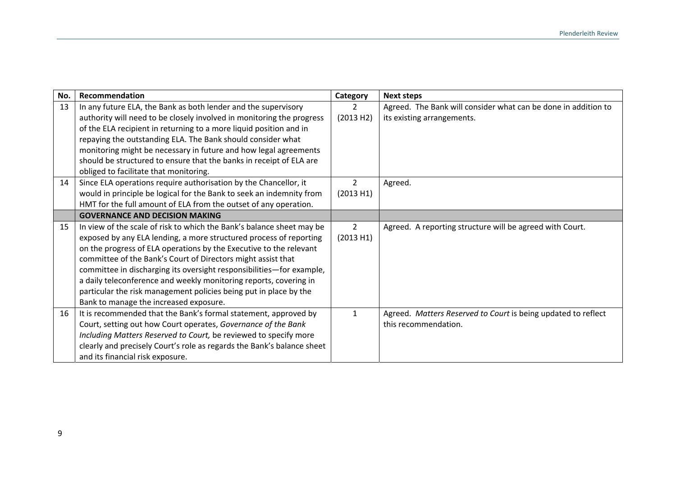| No. | Recommendation                                                         | Category       | <b>Next steps</b>                                              |
|-----|------------------------------------------------------------------------|----------------|----------------------------------------------------------------|
| 13  | In any future ELA, the Bank as both lender and the supervisory         | $\overline{2}$ | Agreed. The Bank will consider what can be done in addition to |
|     | authority will need to be closely involved in monitoring the progress  | (2013 H2)      | its existing arrangements.                                     |
|     | of the ELA recipient in returning to a more liquid position and in     |                |                                                                |
|     | repaying the outstanding ELA. The Bank should consider what            |                |                                                                |
|     | monitoring might be necessary in future and how legal agreements       |                |                                                                |
|     | should be structured to ensure that the banks in receipt of ELA are    |                |                                                                |
|     | obliged to facilitate that monitoring.                                 |                |                                                                |
| 14  | Since ELA operations require authorisation by the Chancellor, it       | $\overline{2}$ | Agreed.                                                        |
|     | would in principle be logical for the Bank to seek an indemnity from   | (2013 H1)      |                                                                |
|     | HMT for the full amount of ELA from the outset of any operation.       |                |                                                                |
|     | <b>GOVERNANCE AND DECISION MAKING</b>                                  |                |                                                                |
| 15  | In view of the scale of risk to which the Bank's balance sheet may be  | $2^{\circ}$    | Agreed. A reporting structure will be agreed with Court.       |
|     | exposed by any ELA lending, a more structured process of reporting     | (2013 H1)      |                                                                |
|     | on the progress of ELA operations by the Executive to the relevant     |                |                                                                |
|     | committee of the Bank's Court of Directors might assist that           |                |                                                                |
|     | committee in discharging its oversight responsibilities-for example,   |                |                                                                |
|     | a daily teleconference and weekly monitoring reports, covering in      |                |                                                                |
|     | particular the risk management policies being put in place by the      |                |                                                                |
|     | Bank to manage the increased exposure.                                 |                |                                                                |
| 16  | It is recommended that the Bank's formal statement, approved by        | $\mathbf{1}$   | Agreed. Matters Reserved to Court is being updated to reflect  |
|     | Court, setting out how Court operates, Governance of the Bank          |                | this recommendation.                                           |
|     | Including Matters Reserved to Court, be reviewed to specify more       |                |                                                                |
|     | clearly and precisely Court's role as regards the Bank's balance sheet |                |                                                                |
|     | and its financial risk exposure.                                       |                |                                                                |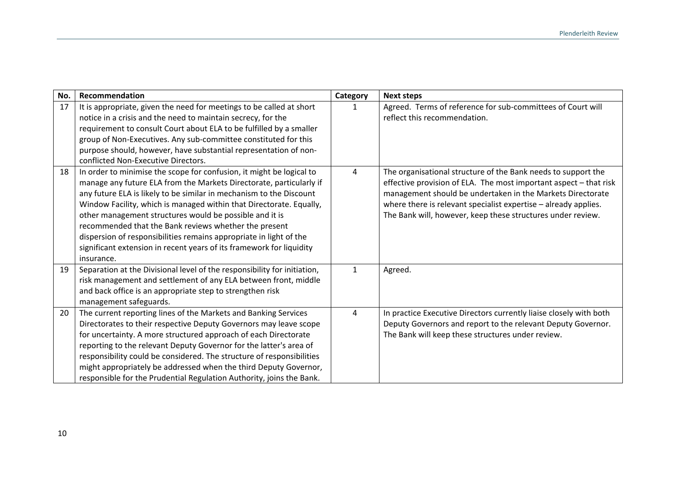| No. | Recommendation                                                                                                                                                                                                                                                                                                                                                                                                                                                                                                                                                            | Category       | <b>Next steps</b>                                                                                                                                                                                                                                                                                                                  |
|-----|---------------------------------------------------------------------------------------------------------------------------------------------------------------------------------------------------------------------------------------------------------------------------------------------------------------------------------------------------------------------------------------------------------------------------------------------------------------------------------------------------------------------------------------------------------------------------|----------------|------------------------------------------------------------------------------------------------------------------------------------------------------------------------------------------------------------------------------------------------------------------------------------------------------------------------------------|
| 17  | It is appropriate, given the need for meetings to be called at short<br>notice in a crisis and the need to maintain secrecy, for the<br>requirement to consult Court about ELA to be fulfilled by a smaller<br>group of Non-Executives. Any sub-committee constituted for this<br>purpose should, however, have substantial representation of non-<br>conflicted Non-Executive Directors.                                                                                                                                                                                 | 1              | Agreed. Terms of reference for sub-committees of Court will<br>reflect this recommendation.                                                                                                                                                                                                                                        |
| 18  | In order to minimise the scope for confusion, it might be logical to<br>manage any future ELA from the Markets Directorate, particularly if<br>any future ELA is likely to be similar in mechanism to the Discount<br>Window Facility, which is managed within that Directorate. Equally,<br>other management structures would be possible and it is<br>recommended that the Bank reviews whether the present<br>dispersion of responsibilities remains appropriate in light of the<br>significant extension in recent years of its framework for liquidity<br>insurance. | 4              | The organisational structure of the Bank needs to support the<br>effective provision of ELA. The most important aspect - that risk<br>management should be undertaken in the Markets Directorate<br>where there is relevant specialist expertise - already applies.<br>The Bank will, however, keep these structures under review. |
| 19  | Separation at the Divisional level of the responsibility for initiation,<br>risk management and settlement of any ELA between front, middle<br>and back office is an appropriate step to strengthen risk<br>management safeguards.                                                                                                                                                                                                                                                                                                                                        | $\mathbf{1}$   | Agreed.                                                                                                                                                                                                                                                                                                                            |
| 20  | The current reporting lines of the Markets and Banking Services<br>Directorates to their respective Deputy Governors may leave scope<br>for uncertainty. A more structured approach of each Directorate<br>reporting to the relevant Deputy Governor for the latter's area of<br>responsibility could be considered. The structure of responsibilities<br>might appropriately be addressed when the third Deputy Governor,<br>responsible for the Prudential Regulation Authority, joins the Bank.                                                                        | $\overline{4}$ | In practice Executive Directors currently liaise closely with both<br>Deputy Governors and report to the relevant Deputy Governor.<br>The Bank will keep these structures under review.                                                                                                                                            |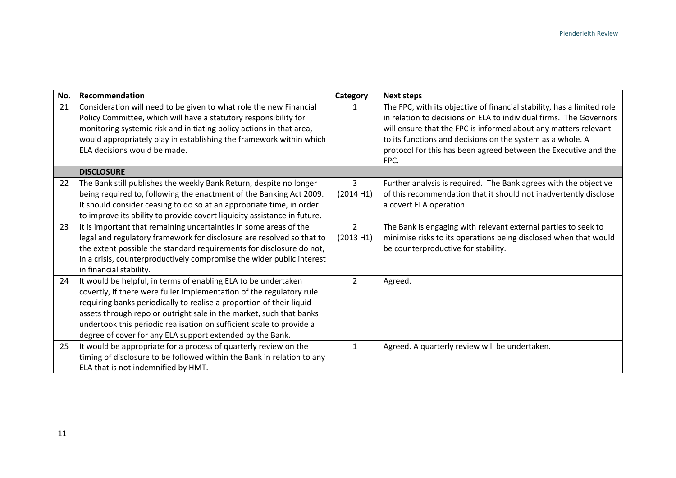| No. | Recommendation                                                                                                                         | Category       | <b>Next steps</b>                                                                                                                            |
|-----|----------------------------------------------------------------------------------------------------------------------------------------|----------------|----------------------------------------------------------------------------------------------------------------------------------------------|
| 21  | Consideration will need to be given to what role the new Financial<br>Policy Committee, which will have a statutory responsibility for | 1              | The FPC, with its objective of financial stability, has a limited role<br>in relation to decisions on ELA to individual firms. The Governors |
|     | monitoring systemic risk and initiating policy actions in that area,                                                                   |                | will ensure that the FPC is informed about any matters relevant                                                                              |
|     | would appropriately play in establishing the framework within which                                                                    |                | to its functions and decisions on the system as a whole. A                                                                                   |
|     | ELA decisions would be made.                                                                                                           |                | protocol for this has been agreed between the Executive and the                                                                              |
|     |                                                                                                                                        |                | FPC.                                                                                                                                         |
|     | <b>DISCLOSURE</b>                                                                                                                      |                |                                                                                                                                              |
| 22  | The Bank still publishes the weekly Bank Return, despite no longer                                                                     | 3              | Further analysis is required. The Bank agrees with the objective                                                                             |
|     | being required to, following the enactment of the Banking Act 2009.                                                                    | (2014 H1)      | of this recommendation that it should not inadvertently disclose                                                                             |
|     | It should consider ceasing to do so at an appropriate time, in order                                                                   |                | a covert ELA operation.                                                                                                                      |
|     | to improve its ability to provide covert liquidity assistance in future.                                                               |                |                                                                                                                                              |
| 23  | It is important that remaining uncertainties in some areas of the                                                                      | $\overline{2}$ | The Bank is engaging with relevant external parties to seek to                                                                               |
|     | legal and regulatory framework for disclosure are resolved so that to                                                                  | (2013 H1)      | minimise risks to its operations being disclosed when that would                                                                             |
|     | the extent possible the standard requirements for disclosure do not,                                                                   |                | be counterproductive for stability.                                                                                                          |
|     | in a crisis, counterproductively compromise the wider public interest                                                                  |                |                                                                                                                                              |
|     | in financial stability.                                                                                                                |                |                                                                                                                                              |
| 24  | It would be helpful, in terms of enabling ELA to be undertaken                                                                         | $\overline{2}$ | Agreed.                                                                                                                                      |
|     | covertly, if there were fuller implementation of the regulatory rule                                                                   |                |                                                                                                                                              |
|     | requiring banks periodically to realise a proportion of their liquid                                                                   |                |                                                                                                                                              |
|     | assets through repo or outright sale in the market, such that banks                                                                    |                |                                                                                                                                              |
|     | undertook this periodic realisation on sufficient scale to provide a                                                                   |                |                                                                                                                                              |
|     | degree of cover for any ELA support extended by the Bank.                                                                              |                |                                                                                                                                              |
| 25  | It would be appropriate for a process of quarterly review on the                                                                       | $\mathbf{1}$   | Agreed. A quarterly review will be undertaken.                                                                                               |
|     | timing of disclosure to be followed within the Bank in relation to any                                                                 |                |                                                                                                                                              |
|     | ELA that is not indemnified by HMT.                                                                                                    |                |                                                                                                                                              |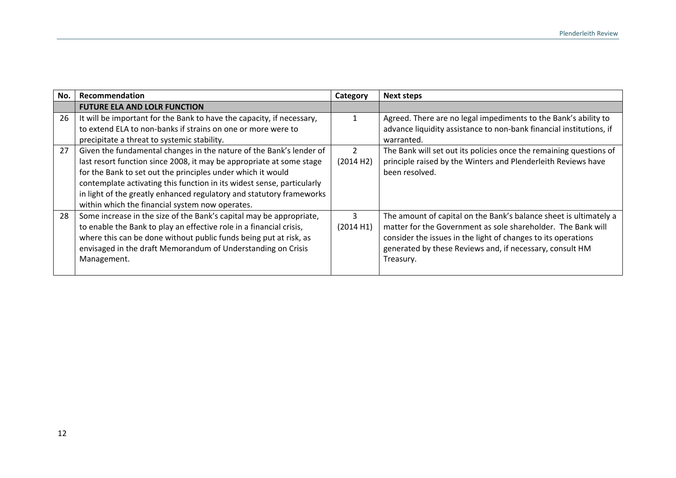| No. | Recommendation                                                                                                                                                                                                                                                                                                                                                                                                  | Category       | <b>Next steps</b>                                                                                                                                                                                                                                                           |
|-----|-----------------------------------------------------------------------------------------------------------------------------------------------------------------------------------------------------------------------------------------------------------------------------------------------------------------------------------------------------------------------------------------------------------------|----------------|-----------------------------------------------------------------------------------------------------------------------------------------------------------------------------------------------------------------------------------------------------------------------------|
|     | <b>FUTURE ELA AND LOLR FUNCTION</b>                                                                                                                                                                                                                                                                                                                                                                             |                |                                                                                                                                                                                                                                                                             |
| 26  | It will be important for the Bank to have the capacity, if necessary,<br>to extend ELA to non-banks if strains on one or more were to<br>precipitate a threat to systemic stability.                                                                                                                                                                                                                            |                | Agreed. There are no legal impediments to the Bank's ability to<br>advance liquidity assistance to non-bank financial institutions, if<br>warranted.                                                                                                                        |
| 27  | Given the fundamental changes in the nature of the Bank's lender of<br>last resort function since 2008, it may be appropriate at some stage<br>for the Bank to set out the principles under which it would<br>contemplate activating this function in its widest sense, particularly<br>in light of the greatly enhanced regulatory and statutory frameworks<br>within which the financial system now operates. | 2<br>(2014 H2) | The Bank will set out its policies once the remaining questions of<br>principle raised by the Winters and Plenderleith Reviews have<br>been resolved.                                                                                                                       |
| 28  | Some increase in the size of the Bank's capital may be appropriate,<br>to enable the Bank to play an effective role in a financial crisis,<br>where this can be done without public funds being put at risk, as<br>envisaged in the draft Memorandum of Understanding on Crisis<br>Management.                                                                                                                  | 3<br>(2014 H1) | The amount of capital on the Bank's balance sheet is ultimately a<br>matter for the Government as sole shareholder. The Bank will<br>consider the issues in the light of changes to its operations<br>generated by these Reviews and, if necessary, consult HM<br>Treasury. |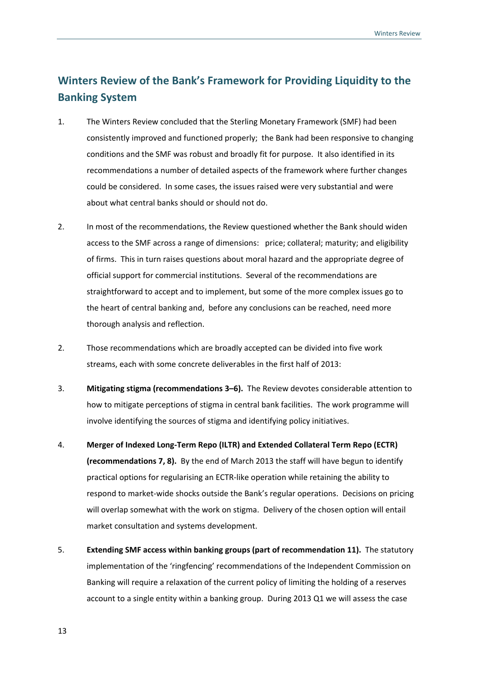### **Winters Review of the Bank's Framework for Providing Liquidity to the Banking System**

- 1. The Winters Review concluded that the Sterling Monetary Framework (SMF) had been consistently improved and functioned properly; the Bank had been responsive to changing conditions and the SMF was robust and broadly fit for purpose. It also identified in its recommendations a number of detailed aspects of the framework where further changes could be considered. In some cases, the issues raised were very substantial and were about what central banks should or should not do.
- 2. In most of the recommendations, the Review questioned whether the Bank should widen access to the SMF across a range of dimensions: price; collateral; maturity; and eligibility of firms. This in turn raises questions about moral hazard and the appropriate degree of official support for commercial institutions. Several of the recommendations are straightforward to accept and to implement, but some of the more complex issues go to the heart of central banking and, before any conclusions can be reached, need more thorough analysis and reflection.
- 2. Those recommendations which are broadly accepted can be divided into five work streams, each with some concrete deliverables in the first half of 2013:
- 3. **Mitigating stigma (recommendations 3–6).** The Review devotes considerable attention to how to mitigate perceptions of stigma in central bank facilities. The work programme will involve identifying the sources of stigma and identifying policy initiatives.
- 4. **Merger of Indexed Long‐Term Repo (ILTR) and Extended Collateral Term Repo (ECTR) (recommendations 7, 8).** By the end of March 2013 the staff will have begun to identify practical options for regularising an ECTR‐like operation while retaining the ability to respond to market-wide shocks outside the Bank's regular operations. Decisions on pricing will overlap somewhat with the work on stigma. Delivery of the chosen option will entail market consultation and systems development.
- 5. **Extending SMF access within banking groups (part of recommendation 11).** The statutory implementation of the 'ringfencing' recommendations of the Independent Commission on Banking will require a relaxation of the current policy of limiting the holding of a reserves account to a single entity within a banking group. During 2013 Q1 we will assess the case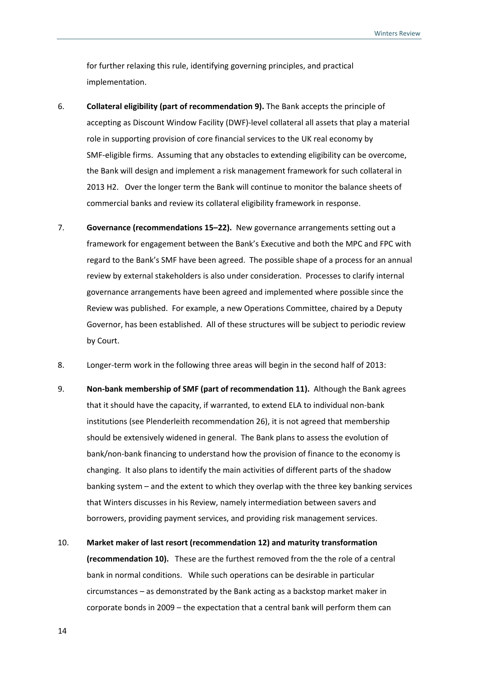for further relaxing this rule, identifying governing principles, and practical implementation.

- 6. **Collateral eligibility (part of recommendation 9).** The Bank accepts the principle of accepting as Discount Window Facility (DWF)‐level collateral all assets that play a material role in supporting provision of core financial services to the UK real economy by SMF-eligible firms. Assuming that any obstacles to extending eligibility can be overcome, the Bank will design and implement a risk management framework for such collateral in 2013 H2. Over the longer term the Bank will continue to monitor the balance sheets of commercial banks and review its collateral eligibility framework in response.
- 7. **Governance (recommendations 15–22).** New governance arrangements setting out a framework for engagement between the Bank's Executive and both the MPC and FPC with regard to the Bank's SMF have been agreed. The possible shape of a process for an annual review by external stakeholders is also under consideration. Processes to clarify internal governance arrangements have been agreed and implemented where possible since the Review was published. For example, a new Operations Committee, chaired by a Deputy Governor, has been established. All of these structures will be subject to periodic review by Court.
- 8. Longer‐term work in the following three areas will begin in the second half of 2013:
- 9. **Non‐bank membership of SMF (part of recommendation 11).** Although the Bank agrees that it should have the capacity, if warranted, to extend ELA to individual non‐bank institutions (see Plenderleith recommendation 26), it is not agreed that membership should be extensively widened in general. The Bank plans to assess the evolution of bank/non‐bank financing to understand how the provision of finance to the economy is changing. It also plans to identify the main activities of different parts of the shadow banking system – and the extent to which they overlap with the three key banking services that Winters discusses in his Review, namely intermediation between savers and borrowers, providing payment services, and providing risk management services.
- 10. **Market maker of last resort (recommendation 12) and maturity transformation (recommendation 10).** These are the furthest removed from the the role of a central bank in normal conditions. While such operations can be desirable in particular circumstances – as demonstrated by the Bank acting as a backstop market maker in corporate bonds in 2009 – the expectation that a central bank will perform them can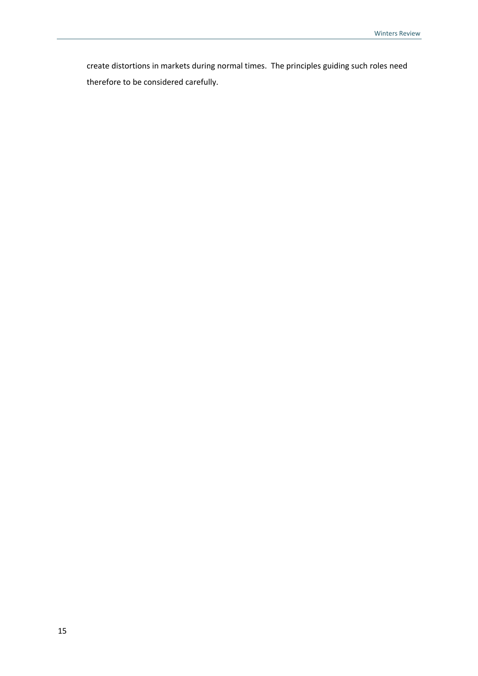create distortions in markets during normal times. The principles guiding such roles need therefore to be considered carefully.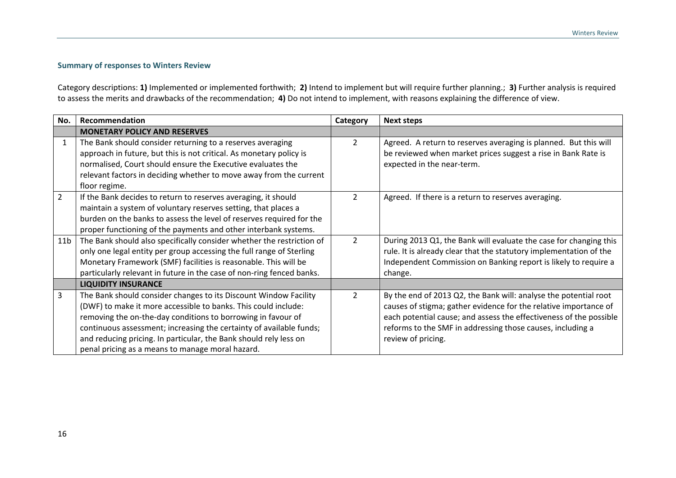#### **Summary of responses to Winters Review**

Category descriptions: **1)** Implemented or implemented forthwith; **2)** Intend to implement but will require further planning.; **3)** Further analysis is required to assess the merits and drawbacks of the recommendation; **4)** Do not intend to implement, with reasons explaining the difference of view.

| No.             | Recommendation                                                                                                                                                                                                                                                                                                                                                                                     | Category       | <b>Next steps</b>                                                                                                                                                                                                                                                                              |
|-----------------|----------------------------------------------------------------------------------------------------------------------------------------------------------------------------------------------------------------------------------------------------------------------------------------------------------------------------------------------------------------------------------------------------|----------------|------------------------------------------------------------------------------------------------------------------------------------------------------------------------------------------------------------------------------------------------------------------------------------------------|
|                 | <b>MONETARY POLICY AND RESERVES</b>                                                                                                                                                                                                                                                                                                                                                                |                |                                                                                                                                                                                                                                                                                                |
| 1               | The Bank should consider returning to a reserves averaging<br>approach in future, but this is not critical. As monetary policy is<br>normalised, Court should ensure the Executive evaluates the<br>relevant factors in deciding whether to move away from the current<br>floor regime.                                                                                                            | $\overline{2}$ | Agreed. A return to reserves averaging is planned. But this will<br>be reviewed when market prices suggest a rise in Bank Rate is<br>expected in the near-term.                                                                                                                                |
| $\overline{2}$  | If the Bank decides to return to reserves averaging, it should<br>maintain a system of voluntary reserves setting, that places a<br>burden on the banks to assess the level of reserves required for the<br>proper functioning of the payments and other interbank systems.                                                                                                                        | 2              | Agreed. If there is a return to reserves averaging.                                                                                                                                                                                                                                            |
| 11 <sub>b</sub> | The Bank should also specifically consider whether the restriction of<br>only one legal entity per group accessing the full range of Sterling<br>Monetary Framework (SMF) facilities is reasonable. This will be<br>particularly relevant in future in the case of non-ring fenced banks.                                                                                                          | $\overline{2}$ | During 2013 Q1, the Bank will evaluate the case for changing this<br>rule. It is already clear that the statutory implementation of the<br>Independent Commission on Banking report is likely to require a<br>change.                                                                          |
|                 | <b>LIQUIDITY INSURANCE</b>                                                                                                                                                                                                                                                                                                                                                                         |                |                                                                                                                                                                                                                                                                                                |
| 3               | The Bank should consider changes to its Discount Window Facility<br>(DWF) to make it more accessible to banks. This could include:<br>removing the on-the-day conditions to borrowing in favour of<br>continuous assessment; increasing the certainty of available funds;<br>and reducing pricing. In particular, the Bank should rely less on<br>penal pricing as a means to manage moral hazard. | $\overline{2}$ | By the end of 2013 Q2, the Bank will: analyse the potential root<br>causes of stigma; gather evidence for the relative importance of<br>each potential cause; and assess the effectiveness of the possible<br>reforms to the SMF in addressing those causes, including a<br>review of pricing. |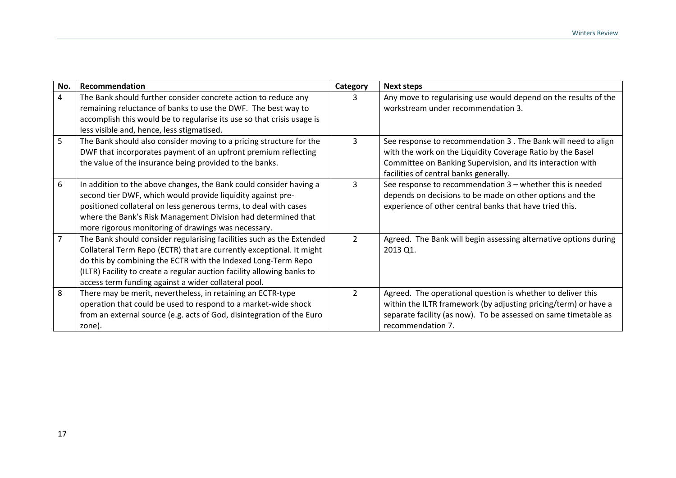| No.            | Recommendation                                                                                                                                                                                                                                                                                                                                   | Category       | <b>Next steps</b>                                                                                                                                                                                                                    |
|----------------|--------------------------------------------------------------------------------------------------------------------------------------------------------------------------------------------------------------------------------------------------------------------------------------------------------------------------------------------------|----------------|--------------------------------------------------------------------------------------------------------------------------------------------------------------------------------------------------------------------------------------|
| 4              | The Bank should further consider concrete action to reduce any<br>remaining reluctance of banks to use the DWF. The best way to<br>accomplish this would be to regularise its use so that crisis usage is<br>less visible and, hence, less stigmatised.                                                                                          | 3              | Any move to regularising use would depend on the results of the<br>workstream under recommendation 3.                                                                                                                                |
| 5              | The Bank should also consider moving to a pricing structure for the<br>DWF that incorporates payment of an upfront premium reflecting<br>the value of the insurance being provided to the banks.                                                                                                                                                 | 3              | See response to recommendation 3 . The Bank will need to align<br>with the work on the Liquidity Coverage Ratio by the Basel<br>Committee on Banking Supervision, and its interaction with<br>facilities of central banks generally. |
| 6              | In addition to the above changes, the Bank could consider having a<br>second tier DWF, which would provide liquidity against pre-<br>positioned collateral on less generous terms, to deal with cases<br>where the Bank's Risk Management Division had determined that<br>more rigorous monitoring of drawings was necessary.                    | 3              | See response to recommendation $3$ – whether this is needed<br>depends on decisions to be made on other options and the<br>experience of other central banks that have tried this.                                                   |
| $\overline{7}$ | The Bank should consider regularising facilities such as the Extended<br>Collateral Term Repo (ECTR) that are currently exceptional. It might<br>do this by combining the ECTR with the Indexed Long-Term Repo<br>(ILTR) Facility to create a regular auction facility allowing banks to<br>access term funding against a wider collateral pool. | $\overline{2}$ | Agreed. The Bank will begin assessing alternative options during<br>2013 Q1.                                                                                                                                                         |
| 8              | There may be merit, nevertheless, in retaining an ECTR-type<br>operation that could be used to respond to a market-wide shock<br>from an external source (e.g. acts of God, disintegration of the Euro<br>zone).                                                                                                                                 | $\overline{2}$ | Agreed. The operational question is whether to deliver this<br>within the ILTR framework (by adjusting pricing/term) or have a<br>separate facility (as now). To be assessed on same timetable as<br>recommendation 7.               |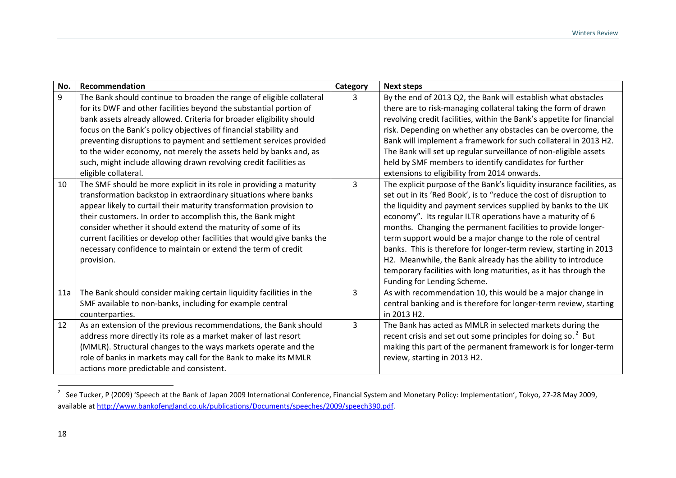| No. | Recommendation                                                                                                                                                                                                                                                                                                                                                                                                                                                                                                                 | Category | <b>Next steps</b>                                                                                                                                                                                                                                                                                                                                                                                                                                                                                                                                                                                                                                  |
|-----|--------------------------------------------------------------------------------------------------------------------------------------------------------------------------------------------------------------------------------------------------------------------------------------------------------------------------------------------------------------------------------------------------------------------------------------------------------------------------------------------------------------------------------|----------|----------------------------------------------------------------------------------------------------------------------------------------------------------------------------------------------------------------------------------------------------------------------------------------------------------------------------------------------------------------------------------------------------------------------------------------------------------------------------------------------------------------------------------------------------------------------------------------------------------------------------------------------------|
| 9   | The Bank should continue to broaden the range of eligible collateral<br>for its DWF and other facilities beyond the substantial portion of<br>bank assets already allowed. Criteria for broader eligibility should<br>focus on the Bank's policy objectives of financial stability and<br>preventing disruptions to payment and settlement services provided<br>to the wider economy, not merely the assets held by banks and, as<br>such, might include allowing drawn revolving credit facilities as<br>eligible collateral. | 3        | By the end of 2013 Q2, the Bank will establish what obstacles<br>there are to risk-managing collateral taking the form of drawn<br>revolving credit facilities, within the Bank's appetite for financial<br>risk. Depending on whether any obstacles can be overcome, the<br>Bank will implement a framework for such collateral in 2013 H2.<br>The Bank will set up regular surveillance of non-eligible assets<br>held by SMF members to identify candidates for further<br>extensions to eligibility from 2014 onwards.                                                                                                                         |
| 10  | The SMF should be more explicit in its role in providing a maturity<br>transformation backstop in extraordinary situations where banks<br>appear likely to curtail their maturity transformation provision to<br>their customers. In order to accomplish this, the Bank might<br>consider whether it should extend the maturity of some of its<br>current facilities or develop other facilities that would give banks the<br>necessary confidence to maintain or extend the term of credit<br>provision.                      | 3        | The explicit purpose of the Bank's liquidity insurance facilities, as<br>set out in its 'Red Book', is to "reduce the cost of disruption to<br>the liquidity and payment services supplied by banks to the UK<br>economy". Its regular ILTR operations have a maturity of 6<br>months. Changing the permanent facilities to provide longer-<br>term support would be a major change to the role of central<br>banks. This is therefore for longer-term review, starting in 2013<br>H2. Meanwhile, the Bank already has the ability to introduce<br>temporary facilities with long maturities, as it has through the<br>Funding for Lending Scheme. |
| 11a | The Bank should consider making certain liquidity facilities in the<br>SMF available to non-banks, including for example central<br>counterparties.                                                                                                                                                                                                                                                                                                                                                                            | 3        | As with recommendation 10, this would be a major change in<br>central banking and is therefore for longer-term review, starting<br>in 2013 H2.                                                                                                                                                                                                                                                                                                                                                                                                                                                                                                     |
| 12  | As an extension of the previous recommendations, the Bank should<br>address more directly its role as a market maker of last resort<br>(MMLR). Structural changes to the ways markets operate and the<br>role of banks in markets may call for the Bank to make its MMLR<br>actions more predictable and consistent.                                                                                                                                                                                                           | 3        | The Bank has acted as MMLR in selected markets during the<br>recent crisis and set out some principles for doing so. <sup>2</sup> But<br>making this part of the permanent framework is for longer-term<br>review, starting in 2013 H2.                                                                                                                                                                                                                                                                                                                                                                                                            |

<sup>2</sup> See Tucker, P (2009) 'Speech at the Bank of Japan 2009 International Conference, Financial System and Monetary Policy: Implementation', Tokyo, 27‐28 May 2009, available at http://www.bankofengland.co.uk/publications/Documents/speeches/2009/speech390.pdf.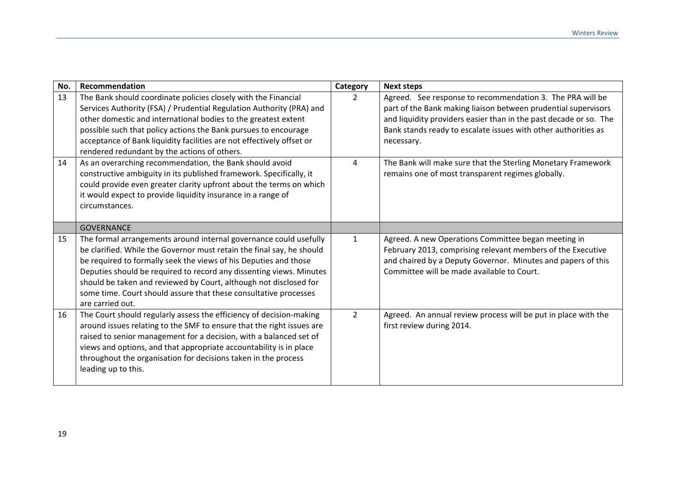| No. | Recommendation                                                                                                                                                                                                                                                                                                                                                                                                                                     | Category       | <b>Next steps</b>                                                                                                                                                                                                                                                                |
|-----|----------------------------------------------------------------------------------------------------------------------------------------------------------------------------------------------------------------------------------------------------------------------------------------------------------------------------------------------------------------------------------------------------------------------------------------------------|----------------|----------------------------------------------------------------------------------------------------------------------------------------------------------------------------------------------------------------------------------------------------------------------------------|
| 13  | The Bank should coordinate policies closely with the Financial<br>Services Authority (FSA) / Prudential Regulation Authority (PRA) and<br>other domestic and international bodies to the greatest extent<br>possible such that policy actions the Bank pursues to encourage<br>acceptance of Bank liquidity facilities are not effectively offset or<br>rendered redundant by the actions of others.                                               | $\overline{2}$ | Agreed. See response to recommendation 3. The PRA will be<br>part of the Bank making liaison between prudential supervisors<br>and liquidity providers easier than in the past decade or so. The<br>Bank stands ready to escalate issues with other authorities as<br>necessary. |
| 14  | As an overarching recommendation, the Bank should avoid<br>constructive ambiguity in its published framework. Specifically, it<br>could provide even greater clarity upfront about the terms on which<br>it would expect to provide liquidity insurance in a range of<br>circumstances.                                                                                                                                                            | 4              | The Bank will make sure that the Sterling Monetary Framework<br>remains one of most transparent regimes globally.                                                                                                                                                                |
|     | <b>GOVERNANCE</b>                                                                                                                                                                                                                                                                                                                                                                                                                                  |                |                                                                                                                                                                                                                                                                                  |
| 15  | The formal arrangements around internal governance could usefully<br>be clarified. While the Governor must retain the final say, he should<br>be required to formally seek the views of his Deputies and those<br>Deputies should be required to record any dissenting views. Minutes<br>should be taken and reviewed by Court, although not disclosed for<br>some time. Court should assure that these consultative processes<br>are carried out. | $\mathbf{1}$   | Agreed. A new Operations Committee began meeting in<br>February 2013, comprising relevant members of the Executive<br>and chaired by a Deputy Governor. Minutes and papers of this<br>Committee will be made available to Court.                                                 |
| 16  | The Court should regularly assess the efficiency of decision-making<br>around issues relating to the SMF to ensure that the right issues are<br>raised to senior management for a decision, with a balanced set of<br>views and options, and that appropriate accountability is in place<br>throughout the organisation for decisions taken in the process<br>leading up to this.                                                                  | $\overline{2}$ | Agreed. An annual review process will be put in place with the<br>first review during 2014.                                                                                                                                                                                      |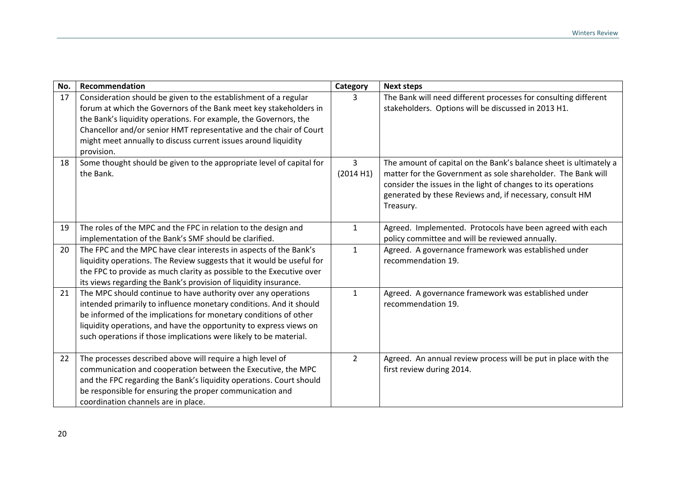| No. | Recommendation                                                                                                                                                                                                                                                                                                                                                 | Category       | <b>Next steps</b>                                                                                                                                                                                                                                                           |
|-----|----------------------------------------------------------------------------------------------------------------------------------------------------------------------------------------------------------------------------------------------------------------------------------------------------------------------------------------------------------------|----------------|-----------------------------------------------------------------------------------------------------------------------------------------------------------------------------------------------------------------------------------------------------------------------------|
| 17  | Consideration should be given to the establishment of a regular<br>forum at which the Governors of the Bank meet key stakeholders in<br>the Bank's liquidity operations. For example, the Governors, the<br>Chancellor and/or senior HMT representative and the chair of Court<br>might meet annually to discuss current issues around liquidity<br>provision. | 3              | The Bank will need different processes for consulting different<br>stakeholders. Options will be discussed in 2013 H1.                                                                                                                                                      |
| 18  | Some thought should be given to the appropriate level of capital for<br>the Bank.                                                                                                                                                                                                                                                                              | 3<br>(2014 H1) | The amount of capital on the Bank's balance sheet is ultimately a<br>matter for the Government as sole shareholder. The Bank will<br>consider the issues in the light of changes to its operations<br>generated by these Reviews and, if necessary, consult HM<br>Treasury. |
| 19  | The roles of the MPC and the FPC in relation to the design and<br>implementation of the Bank's SMF should be clarified.                                                                                                                                                                                                                                        | $\mathbf{1}$   | Agreed. Implemented. Protocols have been agreed with each<br>policy committee and will be reviewed annually.                                                                                                                                                                |
| 20  | The FPC and the MPC have clear interests in aspects of the Bank's<br>liquidity operations. The Review suggests that it would be useful for<br>the FPC to provide as much clarity as possible to the Executive over<br>its views regarding the Bank's provision of liquidity insurance.                                                                         | $\mathbf{1}$   | Agreed. A governance framework was established under<br>recommendation 19.                                                                                                                                                                                                  |
| 21  | The MPC should continue to have authority over any operations<br>intended primarily to influence monetary conditions. And it should<br>be informed of the implications for monetary conditions of other<br>liquidity operations, and have the opportunity to express views on<br>such operations if those implications were likely to be material.             | $\mathbf{1}$   | Agreed. A governance framework was established under<br>recommendation 19.                                                                                                                                                                                                  |
| 22  | The processes described above will require a high level of<br>communication and cooperation between the Executive, the MPC<br>and the FPC regarding the Bank's liquidity operations. Court should<br>be responsible for ensuring the proper communication and<br>coordination channels are in place.                                                           | $\overline{2}$ | Agreed. An annual review process will be put in place with the<br>first review during 2014.                                                                                                                                                                                 |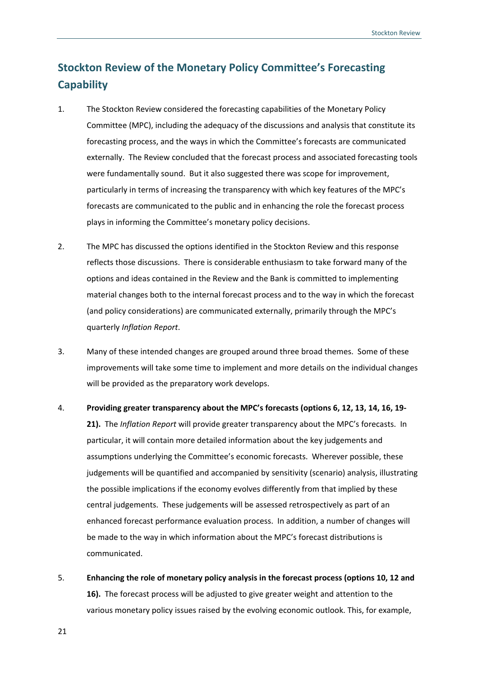### **Stockton Review of the Monetary Policy Committee's Forecasting Capability**

- 1. The Stockton Review considered the forecasting capabilities of the Monetary Policy Committee (MPC), including the adequacy of the discussions and analysis that constitute its forecasting process, and the ways in which the Committee's forecasts are communicated externally. The Review concluded that the forecast process and associated forecasting tools were fundamentally sound. But it also suggested there was scope for improvement, particularly in terms of increasing the transparency with which key features of the MPC's forecasts are communicated to the public and in enhancing the role the forecast process plays in informing the Committee's monetary policy decisions.
- 2. The MPC has discussed the options identified in the Stockton Review and this response reflects those discussions. There is considerable enthusiasm to take forward many of the options and ideas contained in the Review and the Bank is committed to implementing material changes both to the internal forecast process and to the way in which the forecast (and policy considerations) are communicated externally, primarily through the MPC's quarterly *Inflation Report*.
- 3. Many of these intended changes are grouped around three broad themes. Some of these improvements will take some time to implement and more details on the individual changes will be provided as the preparatory work develops.
- 4. **Providing greater transparency about the MPC's forecasts (options 6, 12, 13, 14, 16, 19‐ 21).** The *Inflation Report* will provide greater transparency about the MPC's forecasts. In particular, it will contain more detailed information about the key judgements and assumptions underlying the Committee's economic forecasts. Wherever possible, these judgements will be quantified and accompanied by sensitivity (scenario) analysis, illustrating the possible implications if the economy evolves differently from that implied by these central judgements. These judgements will be assessed retrospectively as part of an enhanced forecast performance evaluation process. In addition, a number of changes will be made to the way in which information about the MPC's forecast distributions is communicated.
- 5. **Enhancing the role of monetary policy analysis in the forecast process (options 10, 12 and 16).** The forecast process will be adjusted to give greater weight and attention to the various monetary policy issues raised by the evolving economic outlook. This, for example,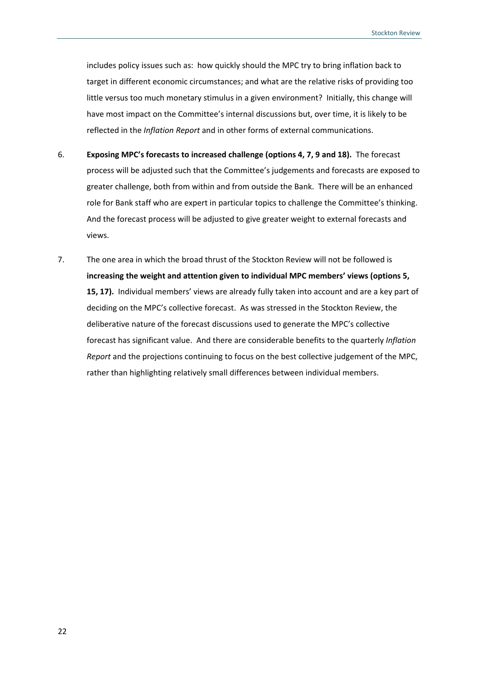includes policy issues such as: how quickly should the MPC try to bring inflation back to target in different economic circumstances; and what are the relative risks of providing too little versus too much monetary stimulus in a given environment? Initially, this change will have most impact on the Committee's internal discussions but, over time, it is likely to be reflected in the *Inflation Report* and in other forms of external communications.

- 6. **Exposing MPC's forecasts to increased challenge (options 4, 7, 9 and 18).** The forecast process will be adjusted such that the Committee's judgements and forecasts are exposed to greater challenge, both from within and from outside the Bank. There will be an enhanced role for Bank staff who are expert in particular topics to challenge the Committee's thinking. And the forecast process will be adjusted to give greater weight to external forecasts and views.
- 7. The one area in which the broad thrust of the Stockton Review will not be followed is **increasing the weight and attention given to individual MPC members' views (options 5, 15, 17).** Individual members' views are already fully taken into account and are a key part of deciding on the MPC's collective forecast. As was stressed in the Stockton Review, the deliberative nature of the forecast discussions used to generate the MPC's collective forecast has significant value. And there are considerable benefits to the quarterly *Inflation Report* and the projections continuing to focus on the best collective judgement of the MPC, rather than highlighting relatively small differences between individual members.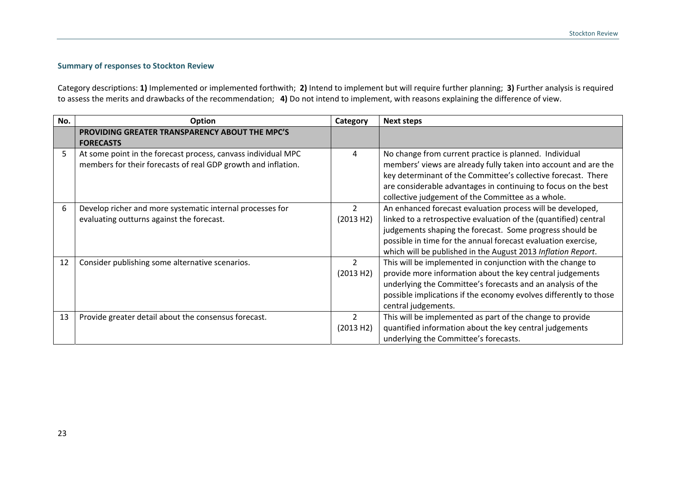#### **Summary of responses to Stockton Review**

Category descriptions: **1)** Implemented or implemented forthwith; **2)** Intend to implement but will require further planning; **3)** Further analysis is required to assess the merits and drawbacks of the recommendation; **4)** Do not intend to implement, with reasons explaining the difference of view.

| No. | Option                                                        | Category       | <b>Next steps</b>                                                 |
|-----|---------------------------------------------------------------|----------------|-------------------------------------------------------------------|
|     | PROVIDING GREATER TRANSPARENCY ABOUT THE MPC'S                |                |                                                                   |
|     | <b>FORECASTS</b>                                              |                |                                                                   |
|     | At some point in the forecast process, canvass individual MPC | 4              | No change from current practice is planned. Individual            |
|     | members for their forecasts of real GDP growth and inflation. |                | members' views are already fully taken into account and are the   |
|     |                                                               |                | key determinant of the Committee's collective forecast. There     |
|     |                                                               |                | are considerable advantages in continuing to focus on the best    |
|     |                                                               |                | collective judgement of the Committee as a whole.                 |
| 6   | Develop richer and more systematic internal processes for     | $\overline{2}$ | An enhanced forecast evaluation process will be developed,        |
|     | evaluating outturns against the forecast.                     | (2013 H2)      | linked to a retrospective evaluation of the (quantified) central  |
|     |                                                               |                | judgements shaping the forecast. Some progress should be          |
|     |                                                               |                | possible in time for the annual forecast evaluation exercise,     |
|     |                                                               |                | which will be published in the August 2013 Inflation Report.      |
| 12  | Consider publishing some alternative scenarios.               | $\overline{2}$ | This will be implemented in conjunction with the change to        |
|     |                                                               | (2013 H2)      | provide more information about the key central judgements         |
|     |                                                               |                | underlying the Committee's forecasts and an analysis of the       |
|     |                                                               |                | possible implications if the economy evolves differently to those |
|     |                                                               |                | central judgements.                                               |
| 13  | Provide greater detail about the consensus forecast.          | $\overline{2}$ | This will be implemented as part of the change to provide         |
|     |                                                               | (2013 H2)      | quantified information about the key central judgements           |
|     |                                                               |                | underlying the Committee's forecasts.                             |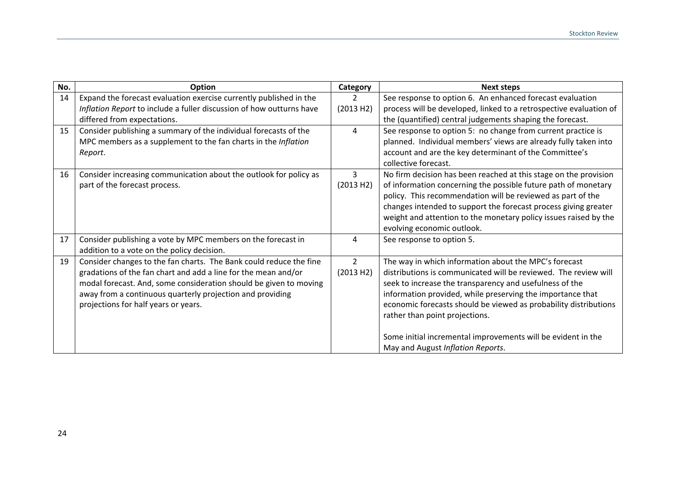| No. | Option                                                                                                     | Category       | <b>Next steps</b>                                                              |
|-----|------------------------------------------------------------------------------------------------------------|----------------|--------------------------------------------------------------------------------|
| 14  | Expand the forecast evaluation exercise currently published in the                                         | $\overline{2}$ | See response to option 6. An enhanced forecast evaluation                      |
|     | Inflation Report to include a fuller discussion of how outturns have                                       | (2013 H2)      | process will be developed, linked to a retrospective evaluation of             |
|     | differed from expectations.                                                                                |                | the (quantified) central judgements shaping the forecast.                      |
| 15  | Consider publishing a summary of the individual forecasts of the                                           | $\overline{4}$ | See response to option 5: no change from current practice is                   |
|     | MPC members as a supplement to the fan charts in the Inflation                                             |                | planned. Individual members' views are already fully taken into                |
|     | Report.                                                                                                    |                | account and are the key determinant of the Committee's<br>collective forecast. |
| 16  | Consider increasing communication about the outlook for policy as                                          | 3              | No firm decision has been reached at this stage on the provision               |
|     | part of the forecast process.                                                                              | (2013 H2)      | of information concerning the possible future path of monetary                 |
|     |                                                                                                            |                | policy. This recommendation will be reviewed as part of the                    |
|     |                                                                                                            |                | changes intended to support the forecast process giving greater                |
|     |                                                                                                            |                | weight and attention to the monetary policy issues raised by the               |
|     |                                                                                                            |                | evolving economic outlook.                                                     |
| 17  | Consider publishing a vote by MPC members on the forecast in<br>addition to a vote on the policy decision. | 4              | See response to option 5.                                                      |
| 19  | Consider changes to the fan charts. The Bank could reduce the fine                                         | $\overline{2}$ | The way in which information about the MPC's forecast                          |
|     | gradations of the fan chart and add a line for the mean and/or                                             | (2013 H2)      | distributions is communicated will be reviewed. The review will                |
|     | modal forecast. And, some consideration should be given to moving                                          |                | seek to increase the transparency and usefulness of the                        |
|     | away from a continuous quarterly projection and providing                                                  |                | information provided, while preserving the importance that                     |
|     | projections for half years or years.                                                                       |                | economic forecasts should be viewed as probability distributions               |
|     |                                                                                                            |                | rather than point projections.                                                 |
|     |                                                                                                            |                |                                                                                |
|     |                                                                                                            |                | Some initial incremental improvements will be evident in the                   |
|     |                                                                                                            |                | May and August Inflation Reports.                                              |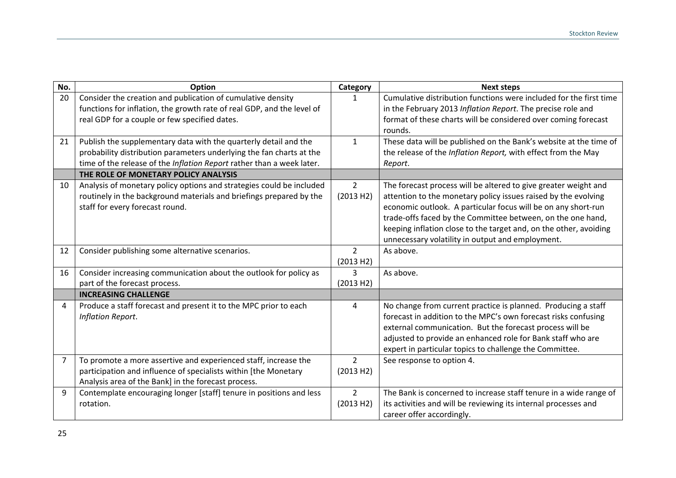| No.            | Option                                                                 | Category       | <b>Next steps</b>                                                  |
|----------------|------------------------------------------------------------------------|----------------|--------------------------------------------------------------------|
| 20             | Consider the creation and publication of cumulative density            | 1              | Cumulative distribution functions were included for the first time |
|                | functions for inflation, the growth rate of real GDP, and the level of |                | in the February 2013 Inflation Report. The precise role and        |
|                | real GDP for a couple or few specified dates.                          |                | format of these charts will be considered over coming forecast     |
|                |                                                                        |                | rounds.                                                            |
| 21             | Publish the supplementary data with the quarterly detail and the       | $\mathbf{1}$   | These data will be published on the Bank's website at the time of  |
|                | probability distribution parameters underlying the fan charts at the   |                | the release of the Inflation Report, with effect from the May      |
|                | time of the release of the Inflation Report rather than a week later.  |                | Report.                                                            |
|                | THE ROLE OF MONETARY POLICY ANALYSIS                                   |                |                                                                    |
| 10             | Analysis of monetary policy options and strategies could be included   | $\overline{2}$ | The forecast process will be altered to give greater weight and    |
|                | routinely in the background materials and briefings prepared by the    | (2013 H2)      | attention to the monetary policy issues raised by the evolving     |
|                | staff for every forecast round.                                        |                | economic outlook. A particular focus will be on any short-run      |
|                |                                                                        |                | trade-offs faced by the Committee between, on the one hand,        |
|                |                                                                        |                | keeping inflation close to the target and, on the other, avoiding  |
|                |                                                                        |                | unnecessary volatility in output and employment.                   |
| 12             | Consider publishing some alternative scenarios.                        | $\overline{2}$ | As above.                                                          |
|                |                                                                        | (2013 H2)      |                                                                    |
| 16             | Consider increasing communication about the outlook for policy as      | 3              | As above.                                                          |
|                | part of the forecast process.                                          | (2013 H2)      |                                                                    |
|                | <b>INCREASING CHALLENGE</b>                                            |                |                                                                    |
| 4              | Produce a staff forecast and present it to the MPC prior to each       | 4              | No change from current practice is planned. Producing a staff      |
|                | Inflation Report.                                                      |                | forecast in addition to the MPC's own forecast risks confusing     |
|                |                                                                        |                | external communication. But the forecast process will be           |
|                |                                                                        |                | adjusted to provide an enhanced role for Bank staff who are        |
|                |                                                                        |                | expert in particular topics to challenge the Committee.            |
| $\overline{7}$ | To promote a more assertive and experienced staff, increase the        | $\overline{2}$ | See response to option 4.                                          |
|                | participation and influence of specialists within [the Monetary        | (2013 H2)      |                                                                    |
|                | Analysis area of the Bank] in the forecast process.                    |                |                                                                    |
| 9              | Contemplate encouraging longer [staff] tenure in positions and less    | $\overline{2}$ | The Bank is concerned to increase staff tenure in a wide range of  |
|                | rotation.                                                              | (2013 H2)      | its activities and will be reviewing its internal processes and    |
|                |                                                                        |                | career offer accordingly.                                          |